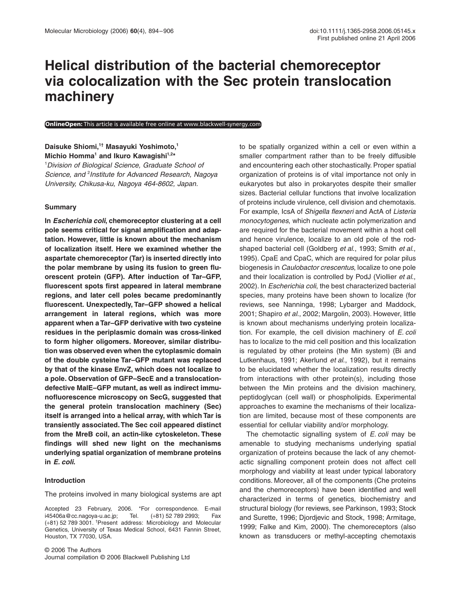# **Helical distribution of the bacterial chemoreceptor via colocalization with the Sec protein translocation machinery**

#### **OnlineOpen:** This article is available free online at www.blackwell-synergy.com

# Daisuke Shiomi,<sup>1†</sup> Masayuki Yoshimoto,<sup>1</sup> **Michio Homma<sup>1</sup> and Ikuro Kawagishi<sup>1,2\*</sup>**

1 *Division of Biological Science, Graduate School of Science, and* <sup>2</sup> *Institute for Advanced Research, Nagoya University, Chikusa-ku, Nagoya 464-8602, Japan.*

## **Summary**

**In** *Escherichia coli***, chemoreceptor clustering at a cell pole seems critical for signal amplification and adaptation. However, little is known about the mechanism of localization itself. Here we examined whether the aspartate chemoreceptor (Tar) is inserted directly into the polar membrane by using its fusion to green fluorescent protein (GFP). After induction of Tar–GFP, fluorescent spots first appeared in lateral membrane regions, and later cell poles became predominantly fluorescent. Unexpectedly, Tar–GFP showed a helical arrangement in lateral regions, which was more apparent when a Tar–GFP derivative with two cysteine residues in the periplasmic domain was cross-linked to form higher oligomers. Moreover, similar distribution was observed even when the cytoplasmic domain of the double cysteine Tar–GFP mutant was replaced by that of the kinase EnvZ, which does not localize to a pole. Observation of GFP–SecE and a translocationdefective MalE–GFP mutant, as well as indirect immunofluorescence microscopy on SecG, suggested that the general protein translocation machinery (Sec) itself is arranged into a helical array, with which Tar is transiently associated. The Sec coil appeared distinct from the MreB coil, an actin-like cytoskeleton. These findings will shed new light on the mechanisms underlying spatial organization of membrane proteins in** *E. coli***.**

#### **Introduction**

The proteins involved in many biological systems are apt

Accepted 23 February, 2006. \*For correspondence. E-mail<br>i45406a@cc.nagoya-u.ac.jp; Tel. (+81) 52 789 2993; Fax i45406a@cc.nagoya-u.ac.jp; Tel. (+81) 52 789 2993; Fax (+81) 52 789 3001. † Present address: Microbiology and Molecular Genetics, University of Texas Medical School, 6431 Fannin Street, Houston, TX 77030, USA.

to be spatially organized within a cell or even within a smaller compartment rather than to be freely diffusible and encountering each other stochastically. Proper spatial organization of proteins is of vital importance not only in eukaryotes but also in prokaryotes despite their smaller sizes. Bacterial cellular functions that involve localization of proteins include virulence, cell division and chemotaxis. For example, IcsA of *Shigella flexneri* and ActA of *Listeria monocytogenes*, which nucleate actin polymerization and are required for the bacterial movement within a host cell and hence virulence, localize to an old pole of the rodshaped bacterial cell (Goldberg *et al*., 1993; Smith *et al*., 1995). CpaE and CpaC, which are required for polar pilus biogenesis in *Caulobactor crescentus*, localize to one pole and their localization is controlled by PodJ (Viollier *et al*., 2002). In *Escherichia coli*, the best characterized bacterial species, many proteins have been shown to localize (for reviews, see Nanninga, 1998; Lybarger and Maddock, 2001; Shapiro *et al*., 2002; Margolin, 2003). However, little is known about mechanisms underlying protein localization. For example, the cell division machinery of *E. coli* has to localize to the mid cell position and this localization is regulated by other proteins (the Min system) (Bi and Lutkenhaus, 1991; Akerlund *et al*., 1992), but it remains to be elucidated whether the localization results directly from interactions with other protein(s), including those between the Min proteins and the division machinery, peptidoglycan (cell wall) or phospholipids. Experimental approaches to examine the mechanisms of their localization are limited, because most of these components are essential for cellular viability and/or morphology.

The chemotactic signalling system of *E. coli* may be amenable to studying mechanisms underlying spatial organization of proteins because the lack of any chemotactic signalling component protein does not affect cell morphology and viability at least under typical laboratory conditions. Moreover, all of the components (Che proteins and the chemoreceptors) have been identified and well characterized in terms of genetics, biochemistry and structural biology (for reviews, see Parkinson, 1993; Stock and Surette, 1996; Djordjevic and Stock, 1998; Armitage, 1999; Falke and Kim, 2000). The chemoreceptors (also known as transducers or methyl-accepting chemotaxis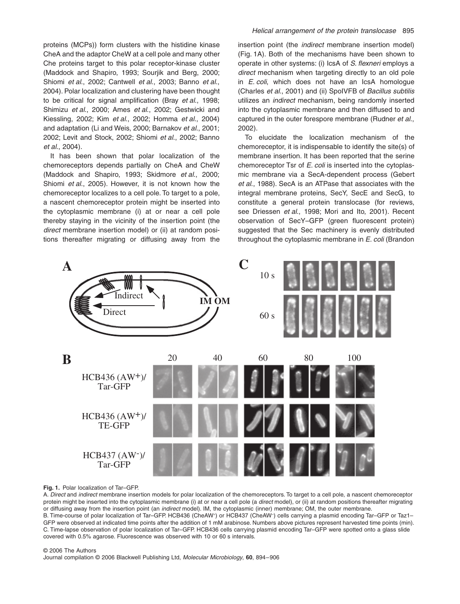proteins (MCPs)) form clusters with the histidine kinase CheA and the adaptor CheW at a cell pole and many other Che proteins target to this polar receptor-kinase cluster (Maddock and Shapiro, 1993; Sourjik and Berg, 2000; Shiomi *et al*., 2002; Cantwell *et al*., 2003; Banno *et al*., 2004). Polar localization and clustering have been thought to be critical for signal amplification (Bray *et al*., 1998; Shimizu *et al*., 2000; Ames *et al*., 2002; Gestwicki and Kiessling, 2002; Kim *et al*., 2002; Homma *et al*., 2004) and adaptation (Li and Weis, 2000; Barnakov *et al*., 2001; 2002; Levit and Stock, 2002; Shiomi *et al*., 2002; Banno *et al*., 2004).

It has been shown that polar localization of the chemoreceptors depends partially on CheA and CheW (Maddock and Shapiro, 1993; Skidmore *et al*., 2000; Shiomi *et al*., 2005). However, it is not known how the chemoreceptor localizes to a cell pole. To target to a pole, a nascent chemoreceptor protein might be inserted into the cytoplasmic membrane (i) at or near a cell pole thereby staying in the vicinity of the insertion point (the *direct* membrane insertion model) or (ii) at random positions thereafter migrating or diffusing away from the insertion point (the *indirect* membrane insertion model) (Fig. 1A). Both of the mechanisms have been shown to operate in other systems: (i) IcsA of *S. flexneri* employs a *direct* mechanism when targeting directly to an old pole in *E. coli*, which does not have an IcsA homologue (Charles *et al*., 2001) and (ii) SpoIVFB of *Bacillus subtilis* utilizes an *indirect* mechanism, being randomly inserted into the cytoplasmic membrane and then diffused to and captured in the outer forespore membrane (Rudner *et al*., 2002).

To elucidate the localization mechanism of the chemoreceptor, it is indispensable to identify the site(s) of membrane insertion. It has been reported that the serine chemoreceptor Tsr of *E. coli* is inserted into the cytoplasmic membrane via a SecA-dependent process (Gebert *et al*., 1988). SecA is an ATPase that associates with the integral membrane proteins, SecY, SecE and SecG, to constitute a general protein translocase (for reviews, see Driessen *et al*., 1998; Mori and Ito, 2001). Recent observation of SecY–GFP (green fluorescent protein) suggested that the Sec machinery is evenly distributed throughout the cytoplasmic membrane in *E. coli* (Brandon



#### **Fig. 1.** Polar localization of Tar–GFP.

A. *Direct* and *indirect* membrane insertion models for polar localization of the chemoreceptors. To target to a cell pole, a nascent chemoreceptor protein might be inserted into the cytoplasmic membrane (i) at or near a cell pole (a *direct* model), or (ii) at random positions thereafter migrating or diffusing away from the insertion point (an *indirect* model). IM, the cytoplasmic (inner) membrane; OM, the outer membrane. B. Time-course of polar localization of Tar–GFP. HCB436 (CheAW+) or HCB437 (CheAW-) cells carrying a plasmid encoding Tar–GFP or Taz1– GFP were observed at indicated time points after the addition of 1 mM arabinose. Numbers above pictures represent harvested time points (min). C. Time-lapse observation of polar localization of Tar–GFP. HCB436 cells carrying plasmid encoding Tar–GFP were spotted onto a glass slide covered with 0.5% agarose. Fluorescence was observed with 10 or 60 s intervals.

© 2006 The Authors Journal compilation © 2006 Blackwell Publishing Ltd, *Molecular Microbiology*, **60**, 894–906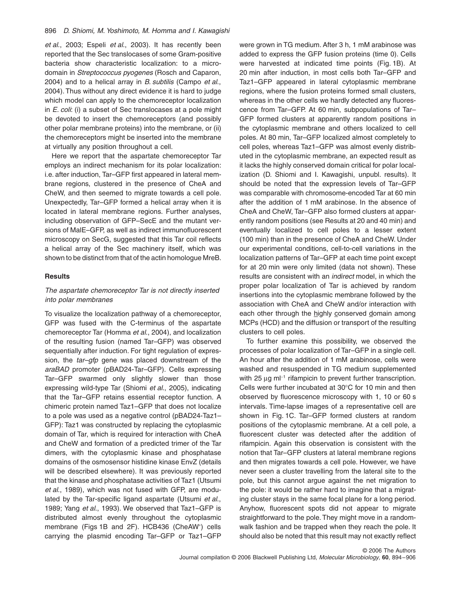## 896 *D. Shiomi, M. Yoshimoto, M. Homma and I. Kawagishi*

*et al*., 2003; Espeli *et al*., 2003). It has recently been reported that the Sec translocases of some Gram-positive bacteria show characteristic localization: to a microdomain in *Streptococcus pyogenes* (Rosch and Caparon, 2004) and to a helical array in *B. subtilis* (Campo *et al*., 2004). Thus without any direct evidence it is hard to judge which model can apply to the chemoreceptor localization in *E. coli*: (i) a subset of Sec translocases at a pole might be devoted to insert the chemoreceptors (and possibly other polar membrane proteins) into the membrane, or (ii) the chemoreceptors might be inserted into the membrane at virtually any position throughout a cell.

Here we report that the aspartate chemoreceptor Tar employs an indirect mechanism for its polar localization: i.e. after induction, Tar–GFP first appeared in lateral membrane regions, clustered in the presence of CheA and CheW, and then seemed to migrate towards a cell pole. Unexpectedly, Tar–GFP formed a helical array when it is located in lateral membrane regions. Further analyses, including observation of GFP–SecE and the mutant versions of MalE–GFP, as well as indirect immunofluorescent microscopy on SecG, suggested that this Tar coil reflects a helical array of the Sec machinery itself, which was shown to be distinct from that of the actin homologue MreB.

### **Results**

# *The aspartate chemoreceptor Tar is not directly inserted into polar membranes*

To visualize the localization pathway of a chemoreceptor, GFP was fused with the C-terminus of the aspartate chemoreceptor Tar (Homma *et al*., 2004), and localization of the resulting fusion (named Tar–GFP) was observed sequentially after induction. For tight regulation of expression, the *tar–gfp* gene was placed downstream of the *araBAD* promoter (pBAD24-Tar–GFP). Cells expressing Tar–GFP swarmed only slightly slower than those expressing wild-type Tar (Shiomi *et al*., 2005), indicating that the Tar–GFP retains essential receptor function. A chimeric protein named Taz1–GFP that does not localize to a pole was used as a negative control (pBAD24-Taz1– GFP): Taz1 was constructed by replacing the cytoplasmic domain of Tar, which is required for interaction with CheA and CheW and formation of a predicted trimer of the Tar dimers, with the cytoplasmic kinase and phosphatase domains of the osmosensor histidine kinase EnvZ (details will be described elsewhere). It was previously reported that the kinase and phosphatase activities of Taz1 (Utsumi *et al*., 1989), which was not fused with GFP, are modulated by the Tar-specific ligand aspartate (Utsumi *et al*., 1989; Yang *et al*., 1993). We observed that Taz1–GFP is distributed almost evenly throughout the cytoplasmic membrane (Figs 1B and 2F). HCB436 (CheAW<sup>+</sup>) cells carrying the plasmid encoding Tar–GFP or Taz1–GFP

were grown in TG medium. After 3 h, 1 mM arabinose was added to express the GFP fusion proteins (time 0). Cells were harvested at indicated time points (Fig. 1B). At 20 min after induction, in most cells both Tar–GFP and Taz1–GFP appeared in lateral cytoplasmic membrane regions, where the fusion proteins formed small clusters, whereas in the other cells we hardly detected any fluorescence from Tar–GFP. At 60 min, subpopulations of Tar– GFP formed clusters at apparently random positions in the cytoplasmic membrane and others localized to cell poles. At 80 min, Tar–GFP localized almost completely to cell poles, whereas Taz1–GFP was almost evenly distributed in the cytoplasmic membrane, an expected result as it lacks the highly conserved domain critical for polar localization (D. Shiomi and I. Kawagishi, unpubl. results). It should be noted that the expression levels of Tar–GFP was comparable with chromosome-encoded Tar at 60 min after the addition of 1 mM arabinose. In the absence of CheA and CheW, Tar–GFP also formed clusters at apparently random positions (see Results at 20 and 40 min) and eventually localized to cell poles to a lesser extent (100 min) than in the presence of CheA and CheW. Under our experimental conditions, cell-to-cell variations in the localization patterns of Tar–GFP at each time point except for at 20 min were only limited (data not shown). These results are consistent with an *indirect* model, in which the proper polar localization of Tar is achieved by random insertions into the cytoplasmic membrane followed by the association with CheA and CheW and/or interaction with each other through the highly conserved domain among MCPs (HCD) and the diffusion or transport of the resulting clusters to cell poles.

To further examine this possibility, we observed the processes of polar localization of Tar–GFP in a single cell. An hour after the addition of 1 mM arabinose, cells were washed and resuspended in TG medium supplemented with 25 µg m<sup>-1</sup> rifampicin to prevent further transcription. Cells were further incubated at 30°C for 10 min and then observed by fluorescence microscopy with 1, 10 or 60 s intervals. Time-lapse images of a representative cell are shown in Fig. 1C. Tar–GFP formed clusters at random positions of the cytoplasmic membrane. At a cell pole, a fluorescent cluster was detected after the addition of rifampicin. Again this observation is consistent with the notion that Tar–GFP clusters at lateral membrane regions and then migrates towards a cell pole. However, we have never seen a cluster travelling from the lateral site to the pole, but this cannot argue against the net migration to the pole: it would be rather hard to imagine that a migrating cluster stays in the same focal plane for a long period. Anyhow, fluorescent spots did not appear to migrate straightforward to the pole. They might move in a randomwalk fashion and be trapped when they reach the pole. It should also be noted that this result may not exactly reflect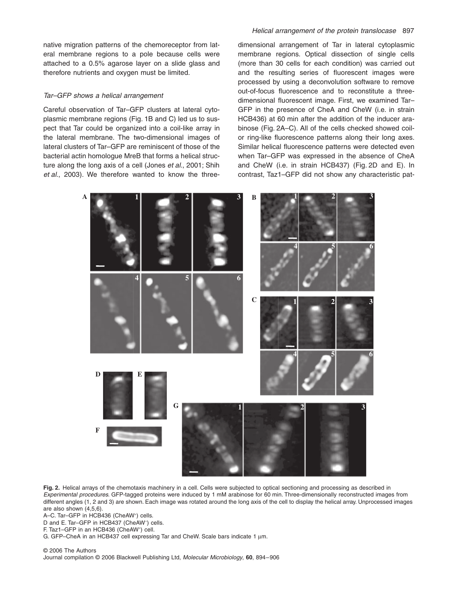native migration patterns of the chemoreceptor from lateral membrane regions to a pole because cells were attached to a 0.5% agarose layer on a slide glass and therefore nutrients and oxygen must be limited.

#### *Tar–GFP shows a helical arrangement*

Careful observation of Tar–GFP clusters at lateral cytoplasmic membrane regions (Fig. 1B and C) led us to suspect that Tar could be organized into a coil-like array in the lateral membrane. The two-dimensional images of lateral clusters of Tar–GFP are reminiscent of those of the bacterial actin homologue MreB that forms a helical structure along the long axis of a cell (Jones *et al*., 2001; Shih *et al*., 2003). We therefore wanted to know the three-

## *Helical arrangement of the protein translocase* 897

dimensional arrangement of Tar in lateral cytoplasmic membrane regions. Optical dissection of single cells (more than 30 cells for each condition) was carried out and the resulting series of fluorescent images were processed by using a deconvolution software to remove out-of-focus fluorescence and to reconstitute a threedimensional fluorescent image. First, we examined Tar– GFP in the presence of CheA and CheW (i.e. in strain HCB436) at 60 min after the addition of the inducer arabinose (Fig. 2A–C). All of the cells checked showed coilor ring-like fluorescence patterns along their long axes. Similar helical fluorescence patterns were detected even when Tar–GFP was expressed in the absence of CheA and CheW (i.e. in strain HCB437) (Fig. 2D and E). In contrast, Taz1–GFP did not show any characteristic pat-



**Fig. 2.** Helical arrays of the chemotaxis machinery in a cell. Cells were subjected to optical sectioning and processing as described in *Experimental procedures*. GFP-tagged proteins were induced by 1 mM arabinose for 60 min. Three-dimensionally reconstructed images from different angles (1, 2 and 3) are shown. Each image was rotated around the long axis of the cell to display the helical array. Unprocessed images are also shown (4,5,6).

A-C. Tar-GFP in HCB436 (CheAW<sup>+</sup>) cells.

D and E. Tar-GFP in HCB437 (CheAW<sup>-</sup>) cells.

F. Taz1-GFP in an HCB436 (CheAW<sup>+</sup>) cell.

G. GFP–CheA in an HCB437 cell expressing Tar and CheW. Scale bars indicate 1 µm.

© 2006 The Authors Journal compilation © 2006 Blackwell Publishing Ltd, *Molecular Microbiology*, **60**, 894–906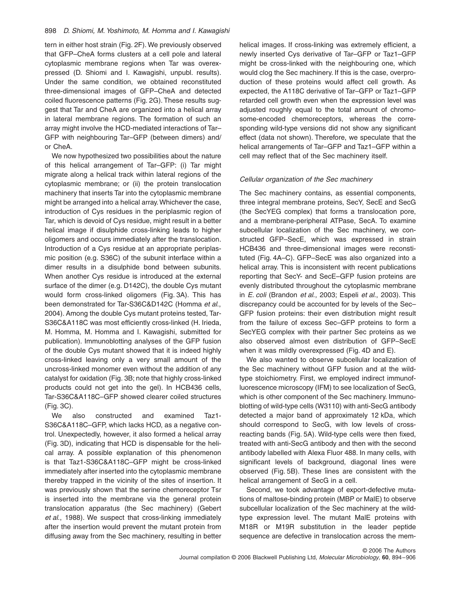tern in either host strain (Fig. 2F). We previously observed that GFP–CheA forms clusters at a cell pole and lateral cytoplasmic membrane regions when Tar was overexpressed (D. Shiomi and I. Kawagishi, unpubl. results). Under the same condition, we obtained reconstituted three-dimensional images of GFP–CheA and detected coiled fluorescence patterns (Fig. 2G). These results suggest that Tar and CheA are organized into a helical array in lateral membrane regions. The formation of such an array might involve the HCD-mediated interactions of Tar– GFP with neighbouring Tar–GFP (between dimers) and/ or CheA.

We now hypothesized two possibilities about the nature of this helical arrangement of Tar–GFP: (i) Tar might migrate along a helical track within lateral regions of the cytoplasmic membrane; or (ii) the protein translocation machinery that inserts Tar into the cytoplasmic membrane might be arranged into a helical array. Whichever the case, introduction of Cys residues in the periplasmic region of Tar, which is devoid of Cys residue, might result in a better helical image if disulphide cross-linking leads to higher oligomers and occurs immediately after the translocation. Introduction of a Cys residue at an appropriate periplasmic position (e.g. S36C) of the subunit interface within a dimer results in a disulphide bond between subunits. When another Cys residue is introduced at the external surface of the dimer (e.g. D142C), the double Cys mutant would form cross-linked oligomers (Fig. 3A). This has been demonstrated for Tar-S36C&D142C (Homma *et al*., 2004). Among the double Cys mutant proteins tested, Tar-S36C&A118C was most efficiently cross-linked (H. Irieda, M. Homma, M. Homma and I. Kawagishi, submitted for publication). Immunoblotting analyses of the GFP fusion of the double Cys mutant showed that it is indeed highly cross-linked leaving only a very small amount of the uncross-linked monomer even without the addition of any catalyst for oxidation (Fig. 3B; note that highly cross-linked products could not get into the gel). In HCB436 cells, Tar-S36C&A118C–GFP showed clearer coiled structures (Fig. 3C).

We also constructed and examined Taz1- S36C&A118C–GFP, which lacks HCD, as a negative control. Unexpectedly, however, it also formed a helical array (Fig. 3D), indicating that HCD is dispensable for the helical array. A possible explanation of this phenomenon is that Taz1-S36C&A118C–GFP might be cross-linked immediately after inserted into the cytoplasmic membrane thereby trapped in the vicinity of the sites of insertion. It was previously shown that the serine chemoreceptor Tsr is inserted into the membrane via the general protein translocation apparatus (the Sec machinery) (Gebert *et al*., 1988). We suspect that cross-linking immediately after the insertion would prevent the mutant protein from diffusing away from the Sec machinery, resulting in better helical images. If cross-linking was extremely efficient, a newly inserted Cys derivative of Tar–GFP or Taz1–GFP might be cross-linked with the neighbouring one, which would clog the Sec machinery. If this is the case, overproduction of these proteins would affect cell growth. As expected, the A118C derivative of Tar–GFP or Taz1–GFP retarded cell growth even when the expression level was adjusted roughly equal to the total amount of chromosome-encoded chemoreceptors, whereas the corresponding wild-type versions did not show any significant effect (data not shown). Therefore, we speculate that the helical arrangements of Tar–GFP and Taz1–GFP within a cell may reflect that of the Sec machinery itself.

#### *Cellular organization of the Sec machinery*

The Sec machinery contains, as essential components, three integral membrane proteins, SecY, SecE and SecG (the SecYEG complex) that forms a translocation pore, and a membrane-peripheral ATPase, SecA. To examine subcellular localization of the Sec machinery, we constructed GFP–SecE, which was expressed in strain HCB436 and three-dimensional images were reconstituted (Fig. 4A–C). GFP–SecE was also organized into a helical array. This is inconsistent with recent publications reporting that SecY- and SecE–GFP fusion proteins are evenly distributed throughout the cytoplasmic membrane in *E. coli* (Brandon *et al*., 2003; Espeli *et al*., 2003). This discrepancy could be accounted for by levels of the Sec– GFP fusion proteins: their even distribution might result from the failure of excess Sec–GFP proteins to form a SecYEG complex with their partner Sec proteins as we also observed almost even distribution of GFP–SecE when it was mildly overexpressed (Fig. 4D and E).

We also wanted to observe subcellular localization of the Sec machinery without GFP fusion and at the wildtype stoichiometry. First, we employed indirect immunofluorescence microscopy (IFM) to see localization of SecG, which is other component of the Sec machinery. Immunoblotting of wild-type cells (W3110) with anti-SecG antibody detected a major band of approximately 12 kDa, which should correspond to SecG, with low levels of crossreacting bands (Fig. 5A). Wild-type cells were then fixed, treated with anti-SecG antibody and then with the second antibody labelled with Alexa Fluor 488. In many cells, with significant levels of background, diagonal lines were observed (Fig. 5B). These lines are consistent with the helical arrangement of SecG in a cell.

Second, we took advantage of export-defective mutations of maltose-binding protein (MBP or MalE) to observe subcellular localization of the Sec machinery at the wildtype expression level. The mutant MalE proteins with M18R or M19R substitution in the leader peptide sequence are defective in translocation across the mem-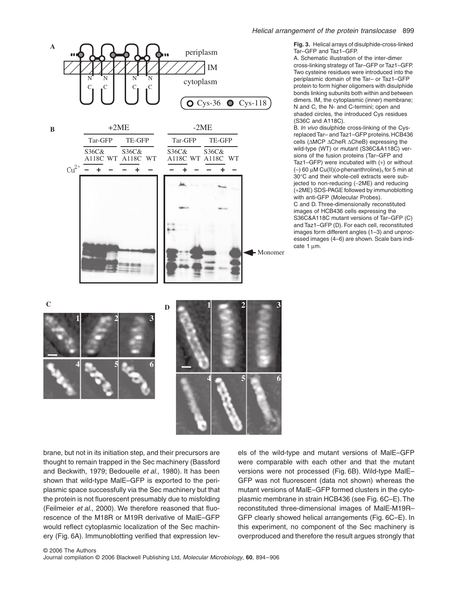#### *Helical arrangement of the protein translocase* 899

**Fig. 3.** Helical arrays of disulphide-cross-linked Tar–GFP and Taz1–GFP.

A. Schematic illustration of the inter-dimer cross-linking strategy of Tar–GFP or Taz1–GFP. Two cysteine residues were introduced into the periplasmic domain of the Tar– or Taz1–GFP protein to form higher oligomers with disulphide bonds linking subunits both within and between dimers. IM, the cytoplasmic (inner) membrane; N and C, the N- and C-termini; open and shaded circles, the introduced Cys residues (S36C and A118C).

B. *In vivo* disulphide cross-linking of the Cysreplaced Tar– and Taz1–GFP proteins. HCB436 cells (∆MCP ∆CheR ∆CheB) expressing the wild-type (WT) or mutant (S36C&A118C) versions of the fusion proteins (Tar–GFP and Taz1–GFP) were incubated with (+) or without (-) 60  $\mu$ M Cu(II)( $o$ -phenanthroline)<sub>3</sub> for 5 min at 30°C and their whole-cell extracts were subjected to non-reducing (−2ME) and reducing (+2ME) SDS-PAGE followed by immunoblotting with anti-GFP (Molecular Probes).

C and D. Three-dimensionally reconstituted images of HCB436 cells expressing the S36C&A118C mutant versions of Tar–GFP (C) and Taz1–GFP (D). For each cell, reconstituted images form different angles (1–3) and unprocessed images (4–6) are shown. Scale bars indicate 1 um.





brane, but not in its initiation step, and their precursors are thought to remain trapped in the Sec machinery (Bassford and Beckwith, 1979; Bedouelle *et al*., 1980). It has been shown that wild-type MalE–GFP is exported to the periplasmic space successfully via the Sec machinery but that the protein is not fluorescent presumably due to misfolding (Feilmeier *et al*., 2000). We therefore reasoned that fluorescence of the M18R or M19R derivative of MalE–GFP would reflect cytoplasmic localization of the Sec machinery (Fig. 6A). Immunoblotting verified that expression lev-

els of the wild-type and mutant versions of MalE–GFP were comparable with each other and that the mutant versions were not processed (Fig. 6B). Wild-type MalE– GFP was not fluorescent (data not shown) whereas the mutant versions of MalE–GFP formed clusters in the cytoplasmic membrane in strain HCB436 (see Fig. 6C–E). The reconstituted three-dimensional images of MalE-M19R– GFP clearly showed helical arrangements (Fig. 6C–E). In this experiment, no component of the Sec machinery is overproduced and therefore the result argues strongly that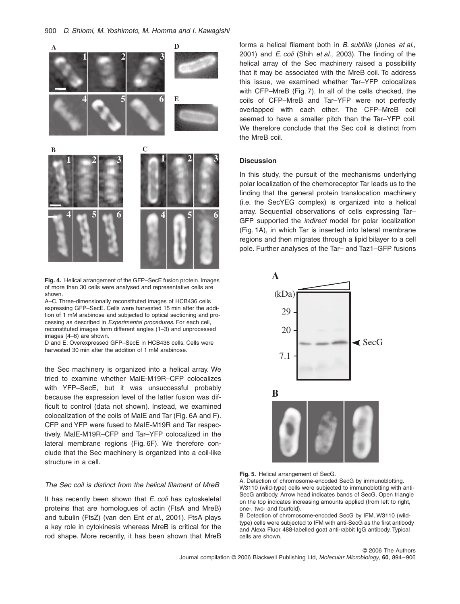

**Fig. 4.** Helical arrangement of the GFP–SecE fusion protein. Images of more than 30 cells were analysed and representative cells are shown.

A–C. Three-dimensionally reconstituted images of HCB436 cells expressing GFP–SecE. Cells were harvested 15 min after the addition of 1 mM arabinose and subjected to optical sectioning and processing as described in *Experimental procedures*. For each cell, reconstituted images form different angles (1–3) and unprocessed images (4–6) are shown.

D and E. Overexpressed GFP–SecE in HCB436 cells. Cells were harvested 30 min after the addition of 1 mM arabinose.

the Sec machinery is organized into a helical array. We tried to examine whether MalE-M19R–CFP colocalizes with YFP–SecE, but it was unsuccessful probably because the expression level of the latter fusion was difficult to control (data not shown). Instead, we examined colocalization of the coils of MalE and Tar (Fig. 6A and F). CFP and YFP were fused to MalE-M19R and Tar respectively. MalE-M19R–CFP and Tar–YFP colocalized in the lateral membrane regions (Fig. 6F). We therefore conclude that the Sec machinery is organized into a coil-like structure in a cell.

#### *The Sec coil is distinct from the helical filament of MreB*

It has recently been shown that *E. coli* has cytoskeletal proteins that are homologues of actin (FtsA and MreB) and tubulin (FtsZ) (van den Ent *et al*., 2001). FtsA plays a key role in cytokinesis whereas MreB is critical for the rod shape. More recently, it has been shown that MreB forms a helical filament both in *B. subtilis* (Jones *et al*., 2001) and *E. coli* (Shih *et al*., 2003). The finding of the helical array of the Sec machinery raised a possibility that it may be associated with the MreB coil. To address this issue, we examined whether Tar–YFP colocalizes with CFP–MreB (Fig. 7). In all of the cells checked, the coils of CFP–MreB and Tar–YFP were not perfectly overlapped with each other. The CFP–MreB coil seemed to have a smaller pitch than the Tar–YFP coil. We therefore conclude that the Sec coil is distinct from the MreB coil.

#### **Discussion**

In this study, the pursuit of the mechanisms underlying polar localization of the chemoreceptor Tar leads us to the finding that the general protein translocation machinery (i.e. the SecYEG complex) is organized into a helical array. Sequential observations of cells expressing Tar– GFP supported the *indirect* model for polar localization (Fig. 1A), in which Tar is inserted into lateral membrane regions and then migrates through a lipid bilayer to a cell pole. Further analyses of the Tar– and Taz1–GFP fusions





A. Detection of chromosome-encoded SecG by immunoblotting. W3110 (wild-type) cells were subjected to immunoblotting with anti-SecG antibody. Arrow head indicates bands of SecG. Open triangle on the top indicates increasing amounts applied (from left to right, one-, two- and fourfold).

B. Detection of chromosome-encoded SecG by IFM. W3110 (wildtype) cells were subjected to IFM with anti-SecG as the first antibody and Alexa Fluor 488-labelled goat anti-rabbit IgG antibody. Typical cells are shown.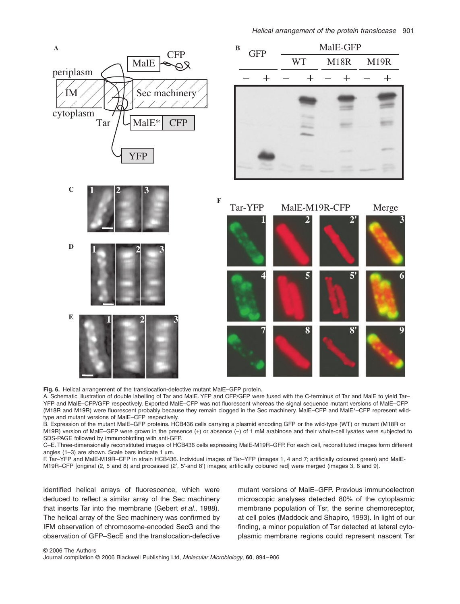#### *Helical arrangement of the protein translocase* 901



**Fig. 6.** Helical arrangement of the translocation-defective mutant MalE–GFP protein.

A. Schematic illustration of double labelling of Tar and MalE. YFP and CFP/GFP were fused with the C-terminus of Tar and MalE to yield Tar– YFP and MalE–CFP/GFP respectively. Exported MalE–CFP was not fluorescent whereas the signal sequence mutant versions of MalE–CFP (M18R and M19R) were fluorescent probably because they remain clogged in the Sec machinery. MalE–CFP and MalE\*–CFP represent wildtype and mutant versions of MalE–CFP respectively.

B. Expression of the mutant MalE–GFP proteins. HCB436 cells carrying a plasmid encoding GFP or the wild-type (WT) or mutant (M18R or M19R) version of MalE–GFP were grown in the presence (+) or absence (–) of 1 mM arabinose and their whole-cell lysates were subjected to SDS-PAGE followed by immunoblotting with anti-GFP.

C–E. Three-dimensionally reconstituted images of HCB436 cells expressing MalE-M19R–GFP. For each cell, reconstituted images form different angles (1–3) are shown. Scale bars indicate 1  $\mu$ m.

F. Tar–YFP and MalE-M19R–CFP in strain HCB436. Individual images of Tar–YFP (images 1, 4 and 7; artificially coloured green) and MalE-M19R–CFP [original (2, 5 and 8) and processed (2′, 5′-and 8′) images; artificially coloured red] were merged (images 3, 6 and 9).

identified helical arrays of fluorescence, which were deduced to reflect a similar array of the Sec machinery that inserts Tar into the membrane (Gebert *et al*., 1988). The helical array of the Sec machinery was confirmed by IFM observation of chromosome-encoded SecG and the observation of GFP–SecE and the translocation-defective mutant versions of MalE–GFP. Previous immunoelectron microscopic analyses detected 80% of the cytoplasmic membrane population of Tsr, the serine chemoreceptor, at cell poles (Maddock and Shapiro, 1993). In light of our finding, a minor population of Tsr detected at lateral cytoplasmic membrane regions could represent nascent Tsr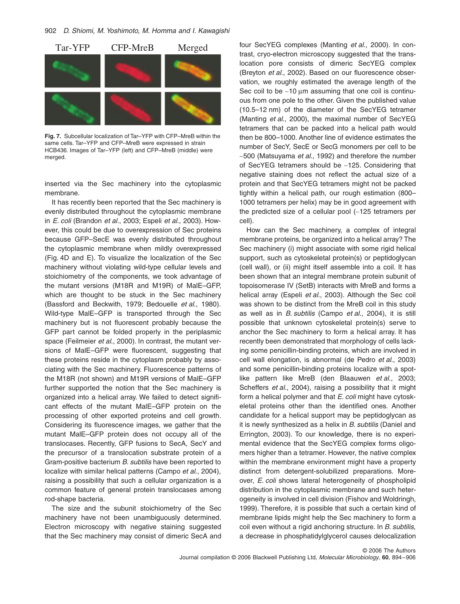

**Fig. 7.** Subcellular localization of Tar–YFP with CFP–MreB within the same cells. Tar–YFP and CFP–MreB were expressed in strain HCB436. Images of Tar–YFP (left) and CFP–MreB (middle) were merged.

inserted via the Sec machinery into the cytoplasmic membrane.

It has recently been reported that the Sec machinery is evenly distributed throughout the cytoplasmic membrane in *E. coli* (Brandon *et al*., 2003; Espeli *et al*., 2003). However, this could be due to overexpression of Sec proteins because GFP–SecE was evenly distributed throughout the cytoplasmic membrane when mildly overexpressed (Fig. 4D and E). To visualize the localization of the Sec machinery without violating wild-type cellular levels and stoichiometry of the components, we took advantage of the mutant versions (M18R and M19R) of MalE–GFP, which are thought to be stuck in the Sec machinery (Bassford and Beckwith, 1979; Bedouelle *et al*., 1980). Wild-type MalE–GFP is transported through the Sec machinery but is not fluorescent probably because the GFP part cannot be folded properly in the periplasmic space (Feilmeier *et al*., 2000). In contrast, the mutant versions of MalE–GFP were fluorescent, suggesting that these proteins reside in the cytoplasm probably by associating with the Sec machinery. Fluorescence patterns of the M18R (not shown) and M19R versions of MalE–GFP further supported the notion that the Sec machinery is organized into a helical array. We failed to detect significant effects of the mutant MalE–GFP protein on the processing of other exported proteins and cell growth. Considering its fluorescence images, we gather that the mutant MalE–GFP protein does not occupy all of the translocases. Recently, GFP fusions to SecA, SecY and the precursor of a translocation substrate protein of a Gram-positive bacterium *B. subtilis* have been reported to localize with similar helical patterns (Campo *et al*., 2004), raising a possibility that such a cellular organization is a common feature of general protein translocases among rod-shape bacteria.

The size and the subunit stoichiometry of the Sec machinery have not been unambiguously determined. Electron microscopy with negative staining suggested that the Sec machinery may consist of dimeric SecA and four SecYEG complexes (Manting *et al*., 2000). In contrast, cryo-electron microscopy suggested that the translocation pore consists of dimeric SecYEG complex (Breyton *et al*., 2002). Based on our fluorescence observation, we roughly estimated the average length of the Sec coil to be ∼10 µm assuming that one coil is continuous from one pole to the other. Given the published value (10.5–12 nm) of the diameter of the SecYEG tetramer (Manting *et al*., 2000), the maximal number of SecYEG tetramers that can be packed into a helical path would then be 800–1000. Another line of evidence estimates the number of SecY, SecE or SecG monomers per cell to be ∼500 (Matsuyama *et al*., 1992) and therefore the number of SecYEG tetramers should be ∼125. Considering that negative staining does not reflect the actual size of a protein and that SecYEG tetramers might not be packed tightly within a helical path, our rough estimation (800– 1000 tetramers per helix) may be in good agreement with the predicted size of a cellular pool (∼125 tetramers per cell).

How can the Sec machinery, a complex of integral membrane proteins, be organized into a helical array? The Sec machinery (i) might associate with some rigid helical support, such as cytoskeletal protein(s) or peptidoglycan (cell wall), or (ii) might itself assemble into a coil. It has been shown that an integral membrane protein subunit of topoisomerase IV (SetB) interacts with MreB and forms a helical array (Espeli *et al*., 2003). Although the Sec coil was shown to be distinct from the MreB coil in this study as well as in *B. subtilis* (Campo *et al*., 2004), it is still possible that unknown cytoskeletal protein(s) serve to anchor the Sec machinery to form a helical array. It has recently been demonstrated that morphology of cells lacking some penicillin-binding proteins, which are involved in cell wall elongation, is abnormal (de Pedro *et al*., 2003) and some penicillin-binding proteins localize with a spotlike pattern like MreB (den Blaauwen *et al*., 2003; Scheffers *et al*., 2004), raising a possibility that it might form a helical polymer and that *E. coli* might have cytoskeletal proteins other than the identified ones. Another candidate for a helical support may be peptidoglycan as it is newly synthesized as a helix in *B. subtilis* (Daniel and Errington, 2003). To our knowledge, there is no experimental evidence that the SecYEG complex forms oligomers higher than a tetramer. However, the native complex within the membrane environment might have a property distinct from detergent-solubilized preparations. Moreover, *E. coli* shows lateral heterogeneity of phospholipid distribution in the cytoplasmic membrane and such heterogeneity is involved in cell division (Fishov and Woldringh, 1999). Therefore, it is possible that such a certain kind of membrane lipids might help the Sec machinery to form a coil even without a rigid anchoring structure. In *B. subtilis*, a decrease in phosphatidylglycerol causes delocalization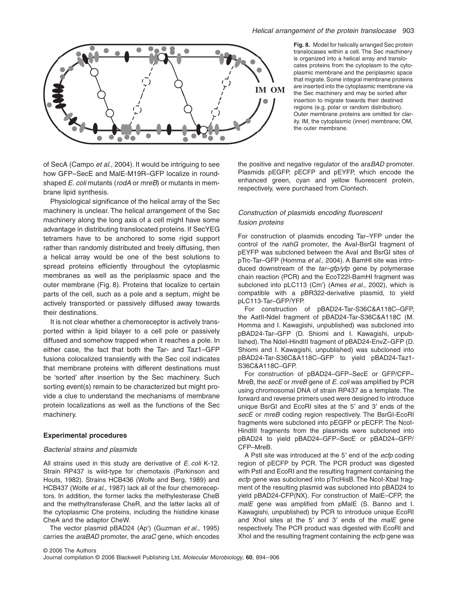

**Fig. 8.** Model for helically arranged Sec protein translocases within a cell. The Sec machinery is organized into a helical array and translocates proteins from the cytoplasm to the cytoplasmic membrane and the periplasmic space that migrate. Some integral membrane proteins are inserted into the cytoplasmic membrane via the Sec machinery and may be sorted after insertion to migrate towards their destined regions (e.g. polar or random distribution). Outer membrane proteins are omitted for clarity. IM, the cytoplasmic (inner) membrane; OM, the outer membrane.

of SecA (Campo *et al*., 2004). It would be intriguing to see how GFP–SecE and MalE-M19R–GFP localize in roundshaped *E. coli* mutants (*rodA* or *mreB*) or mutants in membrane lipid synthesis.

Physiological significance of the helical array of the Sec machinery is unclear. The helical arrangement of the Sec machinery along the long axis of a cell might have some advantage in distributing translocated proteins. If SecYEG tetramers have to be anchored to some rigid support rather than randomly distributed and freely diffusing, then a helical array would be one of the best solutions to spread proteins efficiently throughout the cytoplasmic membranes as well as the periplasmic space and the outer membrane (Fig. 8). Proteins that localize to certain parts of the cell, such as a pole and a septum, might be actively transported or passively diffused away towards their destinations.

It is not clear whether a chemoreceptor is actively transported within a lipid bilayer to a cell pole or passively diffused and somehow trapped when it reaches a pole. In either case, the fact that both the Tar- and Taz1–GFP fusions colocalized transiently with the Sec coil indicates that membrane proteins with different destinations must be 'sorted' after insertion by the Sec machinery. Such sorting event(s) remain to be characterized but might provide a clue to understand the mechanisms of membrane protein localizations as well as the functions of the Sec machinery.

## **Experimental procedures**

#### *Bacterial strains and plasmids*

All strains used in this study are derivative of *E. coli* K-12. Strain RP437 is wild-type for chemotaxis (Parkinson and Houts, 1982). Strains HCB436 (Wolfe and Berg, 1989) and HCB437 (Wolfe *et al*., 1987) lack all of the four chemoreceptors. In addition, the former lacks the methylesterase CheB and the methyltransferase CheR, and the latter lacks all of the cytoplasmic Che proteins, including the histidine kinase CheA and the adaptor CheW.

The vector plasmid pBAD24 (Ap<sup>r</sup>) (Guzman et al., 1995) carries the *araBAD* promoter, the *araC* gene, which encodes the positive and negative regulator of the ara*BAD* promoter. Plasmids pEGFP, pECFP and pEYFP, which encode the enhanced green, cyan and yellow fluorescent protein, respectively, were purchased from Clontech.

# *Construction of plasmids encoding fluorescent fusion proteins*

For construction of plasmids encoding Tar–YFP under the control of the *nahG* promoter, the AvaI-BsrGI fragment of pEYFP was subcloned between the AvaI and BsrGI sites of pTrc-Tar–GFP (Homma *et al*., 2004). A BamHI site was introduced downstream of the *tar–gfp/yfp* gene by polymerase chain reaction (PCR) and the EcoT22I-BamHI fragment was subcloned into pLC113 (Cm<sup>r</sup>) (Ames et al., 2002), which is compatible with a pBR322-derivative plasmid, to yield pLC113-Tar–GFP/YFP.

For construction of pBAD24-Tar-S36C&A118C–GFP, the AatII-NdeI fragment of pBAD24-Tar-S36C&A118C (M. Homma and I. Kawagishi, unpublished) was subcloned into pBAD24-Tar–GFP (D. Shiomi and I. Kawagishi, unpublished). The NdeI-HindIII fragment of pBAD24-EnvZ–GFP (D. Shiomi and I. Kawagishi, unpublished) was subcloned into pBAD24-Tar-S36C&A118C–GFP to yield pBAD24-Taz1- S36C&A118C–GFP.

For construction of pBAD24–GFP–SecE or GFP/CFP– MreB, the *secE* or *mreB* gene of *E. coli* was amplified by PCR using chromosomal DNA of strain RP437 as a template. The forward and reverse primers used were designed to introduce unique BsrGI and EcoRI sites at the 5′ and 3′ ends of the *secE* or *mreB* coding region respectively. The BsrGI-EcoRI fragments were subcloned into pEGFP or pECFP. The NcoI-HindIII fragments from the plasmids were subcloned into pBAD24 to yield pBAD24–GFP–SecE or pBAD24–GFP/ CFP–MreB.

A PstI site was introduced at the 5′ end of the *ecfp* coding region of pECFP by PCR. The PCR product was digested with PstI and EcoRI and the resulting fragment containing the *ecfp* gene was subcloned into pTrcHisB. The NcoI-XbaI fragment of the resulting plasmid was subcloned into pBAD24 to yield pBAD24-CFP(NX). For construction of MalE–CFP, the *malE* gene was amplified from pMalE (S. Banno and I. Kawagishi, unpublished) by PCR to introduce unique EcoRI and XhoI sites at the 5′ and 3′ ends of the *malE* gene respectively. The PCR product was digested with EcoRI and XhoI and the resulting fragment containing the *ecfp* gene was

Journal compilation © 2006 Blackwell Publishing Ltd, *Molecular Microbiology*, **60**, 894–906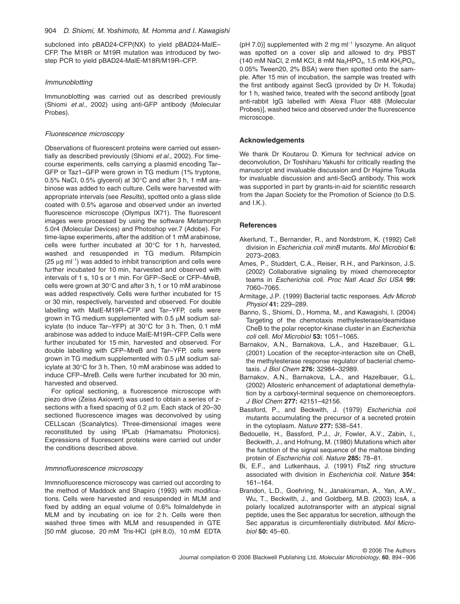subcloned into pBAD24-CFP(NX) to yield pBAD24-MalE– CFP. The M18R or M19R mutation was introduced by twostep PCR to yield pBAD24-MalE-M18R/M19R–CFP.

#### *Immunoblotting*

Immunoblotting was carried out as described previously (Shiomi *et al*., 2002) using anti-GFP antibody (Molecular Probes).

#### *Fluorescence microscopy*

Observations of fluorescent proteins were carried out essentially as described previously (Shiomi *et al*., 2002). For timecourse experiments, cells carrying a plasmid encoding Tar– GFP or Taz1–GFP were grown in TG medium (1% tryptone, 0.5% NaCl, 0.5% glycerol) at 30°C and after 3 h, 1 mM arabinose was added to each culture. Cells were harvested with appropriate intervals (see *Results*), spotted onto a glass slide coated with 0.5% agarose and observed under an inverted fluorescence microscope (Olympus IX71). The fluorescent images were processed by using the software Metamorph 5.0r4 (Molecular Devices) and Photoshop ver.7 (Adobe). For time-lapse experiments, after the addition of 1 mM arabinose, cells were further incubated at 30°C for 1 h, harvested, washed and resuspended in TG medium. Rifampicin (25 µg ml<sup>−</sup><sup>1</sup> ) was added to inhibit transcription and cells were further incubated for 10 min, harvested and observed with intervals of 1 s, 10 s or 1 min. For GFP–SecE or CFP–MreB, cells were grown at 30°C and after 3 h, 1 or 10 mM arabinose was added respectively. Cells were further incubated for 15 or 30 min, respectively, harvested and observed. For double labelling with MalE-M19R–CFP and Tar–YFP, cells were grown in TG medium supplemented with 0.5  $\mu$ M sodium salicylate (to induce Tar–YFP) at 30°C for 3 h. Then, 0.1 mM arabinose was added to induce MalE-M19R–CFP. Cells were further incubated for 15 min, harvested and observed. For double labelling with CFP–MreB and Tar–YFP, cells were grown in TG medium supplemented with  $0.5 \mu$ M sodium salicylate at 30°C for 3 h. Then, 10 mM arabinose was added to induce CFP–MreB. Cells were further incubated for 30 min, harvested and observed.

For optical sectioning, a fluorescence microscope with piezo drive (Zeiss Axiovert) was used to obtain a series of zsections with a fixed spacing of 0.2  $\mu$ m. Each stack of 20-30 sectioned fluorescence images was deconvolved by using CELLscan (Scanalytics). Three-dimensional images were reconstituted by using IPLab (Hamamatsu Photonics). Expressions of fluorescent proteins were carried out under the conditions described above.

#### *Immnofluorescence microscopy*

Immnofluorescence microscopy was carried out according to the method of Maddock and Shapiro (1993) with modifications. Cells were harvested and resuspended in MLM and fixed by adding an equal volume of 0.6% folmaldehyde in MLM and by incubating on ice for 2 h. Cells were then washed three times with MLM and resuspended in GTE [50 mM glucose, 20 mM Tris-HCl (pH 8.0), 10 mM EDTA (pH 7.0)] supplemented with 2 mg m<sup>-1</sup> lysozyme. An aliquot was spotted on a cover slip and allowed to dry. PBST (140 mM NaCl, 2 mM KCl, 8 mM Na<sub>2</sub>HPO<sub>4</sub>, 1.5 mM KH<sub>2</sub>PO<sub>4</sub>, 0.05% Tween20, 2% BSA) were then spotted onto the sample. After 15 min of incubation, the sample was treated with the first antibody against SecG (provided by Dr H. Tokuda) for 1 h, washed twice, treated with the second antibody [goat anti-rabbit IgG labelled with Alexa Fluor 488 (Molecular Probes)], washed twice and observed under the fluorescence microscope.

#### **Acknowledgements**

We thank Dr Koutarou D. Kimura for technical advice on deconvolution, Dr Toshiharu Yakushi for critically reading the manuscript and invaluable discussion and Dr Hajime Tokuda for invaluable discussion and anti-SecG antibody. This work was supported in part by grants-in-aid for scientific research from the Japan Society for the Promotion of Science (to D.S. and I.K.).

#### **References**

- Akerlund, T., Bernander, R., and Nordstrom, K. (1992) Cell division in *Escherichia coli minB* mutants. *Mol Microbiol* **6:** 2073–2083.
- Ames, P., Studdert, C.A., Reiser, R.H., and Parkinson, J.S. (2002) Collaborative signaling by mixed chemoreceptor teams in *Escherichia coli*. *Proc Natl Acad Sci USA* **99:** 7060–7065.
- Armitage, J.P. (1999) Bacterial tactic responses. *Adv Microb Physiol* **41:** 229–289.
- Banno, S., Shiomi, D., Homma, M., and Kawagishi, I. (2004) Targeting of the chemotaxis methylesterase/deamidase CheB to the polar receptor-kinase cluster in an *Escherichia coli* cell. *Mol Microbiol* **53:** 1051–1065.
- Barnakov, A.N., Barnakova, L.A., and Hazelbauer, G.L. (2001) Location of the receptor-interaction site on CheB, the methylesterase response regulator of bacterial chemotaxis. *J Biol Chem* **276:** 32984–32989.
- Barnakov, A.N., Barnakova, L.A., and Hazelbauer, G.L. (2002) Allosteric enhancement of adaptational demethylation by a carboxyl-terminal sequence on chemoreceptors. *J Biol Chem* **277:** 42151–42156.
- Bassford, P., and Beckwith, J. (1979) *Escherichia coli* mutants accumulating the precursor of a secreted protein in the cytoplasm. *Nature* **277:** 538–541.
- Bedouelle, H., Bassford, P.J., Jr, Fowler, A.V., Zabin, I., Beckwith, J., and Hofnung, M. (1980) Mutations which alter the function of the signal sequence of the maltose binding protein of *Escherichia coli*. *Nature* **285:** 78–81.
- Bi, E.F., and Lutkenhaus, J. (1991) FtsZ ring structure associated with division in *Escherichia coli*. *Nature* **354:** 161–164.
- Brandon, L.D., Goehring, N., Janakiraman, A., Yan, A.W., Wu, T., Beckwith, J., and Goldberg, M.B. (2003) IcsA, a polarly localized autotransporter with an atypical signal peptide, uses the Sec apparatus for secretion, although the Sec apparatus is circumferentially distributed. *Mol Microbiol* **50:** 45–60.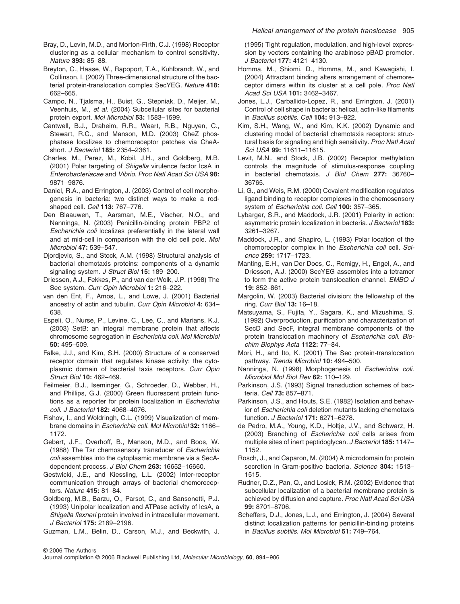- Bray, D., Levin, M.D., and Morton-Firth, C.J. (1998) Receptor clustering as a cellular mechanism to control sensitivity. *Nature* **393:** 85–88.
- Breyton, C., Haase, W., Rapoport, T.A., Kuhlbrandt, W., and Collinson, I. (2002) Three-dimensional structure of the bacterial protein-translocation complex SecYEG. *Nature* **418:** 662–665.
- Campo, N., Tjalsma, H., Buist, G., Stepniak, D., Meijer, M., Veenhuis, M., *et al.* (2004) Subcellular sites for bacterial protein export. *Mol Microbiol* **53:** 1583–1599.
- Cantwell, B.J., Draheim, R.R., Weart, R.B., Nguyen, C., Stewart, R.C., and Manson, M.D. (2003) CheZ phosphatase localizes to chemoreceptor patches via CheAshort. *J Bacteriol* **185:** 2354–2361.
- Charles, M., Perez, M., Kobil, J.H., and Goldberg, M.B. (2001) Polar targeting of *Shigella* virulence factor IcsA in *Enterobacteriacae* and *Vibrio*. *Proc Natl Acad Sci USA* **98:** 9871–9876.
- Daniel, R.A., and Errington, J. (2003) Control of cell morphogenesis in bacteria: two distinct ways to make a rodshaped cell. *Cell* **113:** 767–776.
- Den Blaauwen, T., Aarsman, M.E., Vischer, N.O., and Nanninga, N. (2003) Penicillin-binding protein PBP2 of *Escherichia coli* localizes preferentially in the lateral wall and at mid-cell in comparison with the old cell pole. *Mol Microbiol* **47:** 539–547.
- Djordjevic, S., and Stock, A.M. (1998) Structural analysis of bacterial chemotaxis proteins: components of a dynamic signaling system. *J Struct Biol* **15:** 189–200.
- Driessen, A.J., Fekkes, P., and van der Wolk, J.P. (1998) The Sec system. *Curr Opin Microbiol* **1:** 216–222.
- van den Ent, F., Amos, L., and Lowe, J. (2001) Bacterial ancestry of actin and tubulin. *Curr Opin Microbiol* **4:** 634– 638.
- Espeli, O., Nurse, P., Levine, C., Lee, C., and Marians, K.J. (2003) SetB: an integral membrane protein that affects chromosome segregation in *Escherichia coli*. *Mol Microbiol* **50:** 495–509.
- Falke, J.J., and Kim, S.H. (2000) Structure of a conserved receptor domain that regulates kinase activity: the cytoplasmic domain of bacterial taxis receptors. *Curr Opin Struct Biol* **10:** 462–469.
- Feilmeier, B.J., Iseminger, G., Schroeder, D., Webber, H., and Phillips, G.J. (2000) Green fluorescent protein functions as a reporter for protein localization in *Escherichia coli*. *J Bacteriol* **182:** 4068–4076.
- Fishov, I., and Woldringh, C.L. (1999) Visualization of membrane domains in *Escherichia coli*. *Mol Microbiol* **32:** 1166– 1172.
- Gebert, J.F., Overhoff, B., Manson, M.D., and Boos, W. (1988) The Tsr chemosensory transducer of *Escherichia coli* assembles into the cytoplasmic membrane via a SecAdependent process. *J Biol Chem* **263:** 16652–16660.
- Gestwicki, J.E., and Kiessling, L.L. (2002) Inter-receptor communication through arrays of bacterial chemoreceptors. *Nature* **415:** 81–84.
- Goldberg, M.B., Barzu, O., Parsot, C., and Sansonetti, P.J. (1993) Unipolar localization and ATPase activity of IcsA, a *Shigella flexneri* protein involved in intracellular movement. *J Bacteriol* **175:** 2189–2196.
- Guzman, L.M., Belin, D., Carson, M.J., and Beckwith, J.

(1995) Tight regulation, modulation, and high-level expression by vectors containing the arabinose pBAD promoter. *J Bacteriol* **177:** 4121–4130.

- Homma, M., Shiomi, D., Homma, M., and Kawagishi, I. (2004) Attractant binding alters arrangement of chemoreceptor dimers within its cluster at a cell pole. *Proc Natl Acad Sci USA* **101:** 3462–3467.
- Jones, L.J., Carballido-Lopez, R., and Errington, J. (2001) Control of cell shape in bacteria: helical, actin-like filaments in *Bacillus subtilis*. *Cell* **104:** 913–922.
- Kim, S.H., Wang, W., and Kim, K.K. (2002) Dynamic and clustering model of bacterial chemotaxis receptors: structural basis for signaling and high sensitivity. *Proc Natl Acad Sci USA* **99:** 11611–11615.
- Levit, M.N., and Stock, J.B. (2002) Receptor methylation controls the magnitude of stimulus-response coupling in bacterial chemotaxis. *J Biol Chem* **277:** 36760– 36765.
- Li, G., and Weis, R.M. (2000) Covalent modification regulates ligand binding to receptor complexes in the chemosensory system of *Escherichia coli*. *Cell* **100:** 357–365.
- Lybarger, S.R., and Maddock, J.R. (2001) Polarity in action: asymmetric protein localization in bacteria. *J Bacteriol* **183:** 3261–3267.
- Maddock, J.R., and Shapiro, L. (1993) Polar location of the chemoreceptor complex in the *Escherichia coli* cell. *Science* **259:** 1717–1723.
- Manting, E.H., van Der Does, C., Remigy, H., Engel, A., and Driessen, A.J. (2000) SecYEG assembles into a tetramer to form the active protein translocation channel. *EMBO J* **19:** 852–861.
- Margolin, W. (2003) Bacterial division: the fellowship of the ring. *Curr Biol* **13:** 16–18.
- Matsuyama, S., Fujita, Y., Sagara, K., and Mizushima, S. (1992) Overproduction, purification and characterization of SecD and SecF, integral membrane components of the protein translocation machinery of *Escherichia coli*. *Biochim Biophys Acta* **1122:** 77–84.
- Mori, H., and Ito, K. (2001) The Sec protein-translocation pathway. *Trends Microbiol* **10:** 494–500.
- Nanninga, N. (1998) Morphogenesis of *Escherichia coli*. *Microbiol Mol Biol Rev* **62:** 110–129.
- Parkinson, J.S. (1993) Signal transduction schemes of bacteria. *Cell* **73:** 857–871.
- Parkinson, J.S., and Houts, S.E. (1982) Isolation and behavior of *Escherichia coli* deletion mutants lacking chemotaxis function. *J Bacteriol* **171:** 6271–6278.
- de Pedro, M.A., Young, K.D., Holtje, J.V., and Schwarz, H. (2003) Branching of *Escherichia coli* cells arises from multiple sites of inert peptidoglycan. *J Bacteriol* **185:** 1147– 1152.
- Rosch, J., and Caparon, M. (2004) A microdomain for protein secretion in Gram-positive bacteria. *Science* **304:** 1513– 1515.
- Rudner, D.Z., Pan, Q., and Losick, R.M. (2002) Evidence that subcellular localization of a bacterial membrane protein is achieved by diffusion and capture. *Proc Natl Acad Sci USA* **99:** 8701–8706.
- Scheffers, D.J., Jones, L.J., and Errington, J. (2004) Several distinct localization patterns for penicillin-binding proteins in *Bacillus subtilis*. *Mol Microbiol* **51:** 749–764.

Journal compilation © 2006 Blackwell Publishing Ltd, *Molecular Microbiology*, **60**, 894–906

<sup>© 2006</sup> The Authors